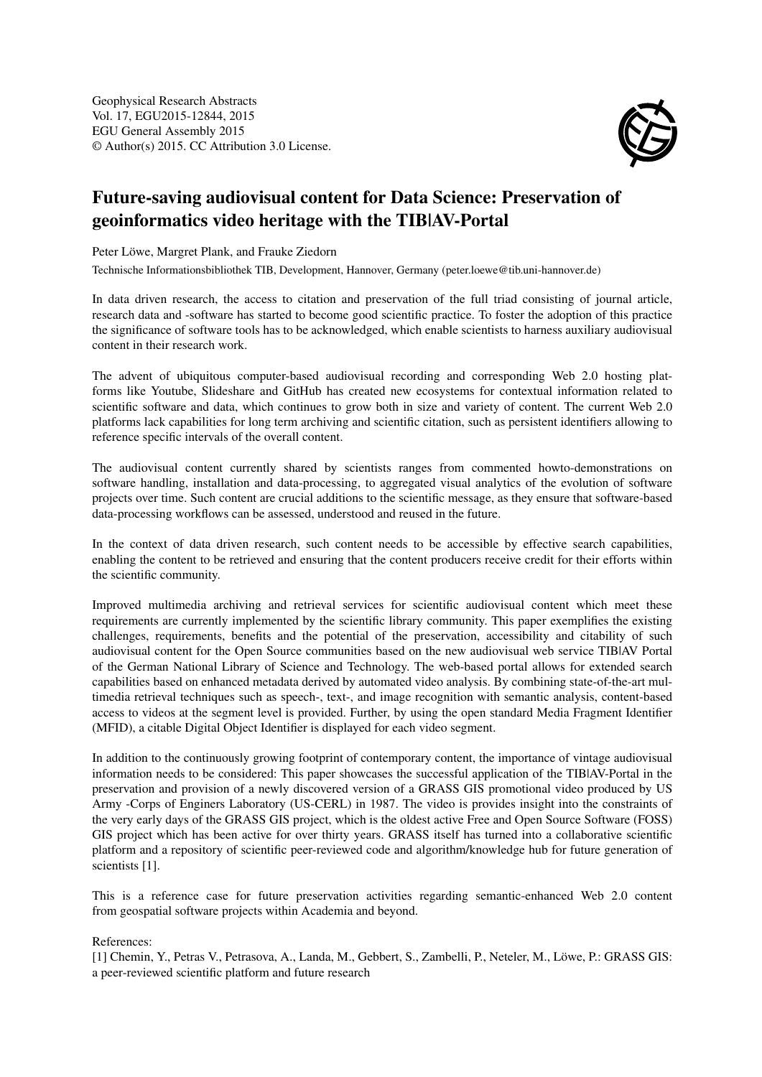

## Future-saving audiovisual content for Data Science: Preservation of geoinformatics video heritage with the TIB|AV-Portal

Peter Löwe, Margret Plank, and Frauke Ziedorn

Technische Informationsbibliothek TIB, Development, Hannover, Germany (peter.loewe@tib.uni-hannover.de)

In data driven research, the access to citation and preservation of the full triad consisting of journal article, research data and -software has started to become good scientific practice. To foster the adoption of this practice the significance of software tools has to be acknowledged, which enable scientists to harness auxiliary audiovisual content in their research work.

The advent of ubiquitous computer-based audiovisual recording and corresponding Web 2.0 hosting platforms like Youtube, Slideshare and GitHub has created new ecosystems for contextual information related to scientific software and data, which continues to grow both in size and variety of content. The current Web 2.0 platforms lack capabilities for long term archiving and scientific citation, such as persistent identifiers allowing to reference specific intervals of the overall content.

The audiovisual content currently shared by scientists ranges from commented howto-demonstrations on software handling, installation and data-processing, to aggregated visual analytics of the evolution of software projects over time. Such content are crucial additions to the scientific message, as they ensure that software-based data-processing workflows can be assessed, understood and reused in the future.

In the context of data driven research, such content needs to be accessible by effective search capabilities, enabling the content to be retrieved and ensuring that the content producers receive credit for their efforts within the scientific community.

Improved multimedia archiving and retrieval services for scientific audiovisual content which meet these requirements are currently implemented by the scientific library community. This paper exemplifies the existing challenges, requirements, benefits and the potential of the preservation, accessibility and citability of such audiovisual content for the Open Source communities based on the new audiovisual web service TIB|AV Portal of the German National Library of Science and Technology. The web-based portal allows for extended search capabilities based on enhanced metadata derived by automated video analysis. By combining state-of-the-art multimedia retrieval techniques such as speech-, text-, and image recognition with semantic analysis, content-based access to videos at the segment level is provided. Further, by using the open standard Media Fragment Identifier (MFID), a citable Digital Object Identifier is displayed for each video segment.

In addition to the continuously growing footprint of contemporary content, the importance of vintage audiovisual information needs to be considered: This paper showcases the successful application of the TIB|AV-Portal in the preservation and provision of a newly discovered version of a GRASS GIS promotional video produced by US Army -Corps of Enginers Laboratory (US-CERL) in 1987. The video is provides insight into the constraints of the very early days of the GRASS GIS project, which is the oldest active Free and Open Source Software (FOSS) GIS project which has been active for over thirty years. GRASS itself has turned into a collaborative scientific platform and a repository of scientific peer-reviewed code and algorithm/knowledge hub for future generation of scientists [1].

This is a reference case for future preservation activities regarding semantic-enhanced Web 2.0 content from geospatial software projects within Academia and beyond.

## References:

[1] Chemin, Y., Petras V., Petrasova, A., Landa, M., Gebbert, S., Zambelli, P., Neteler, M., Löwe, P.: GRASS GIS: a peer-reviewed scientific platform and future research